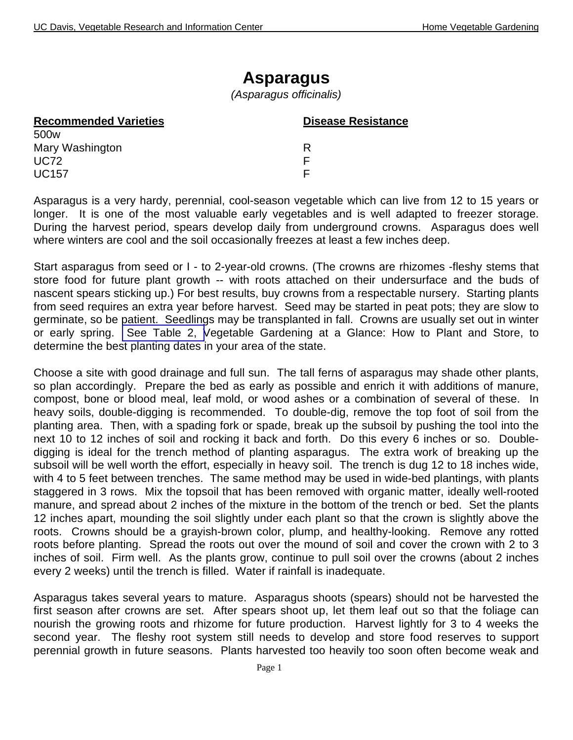## **Asparagus**

*(Asparagus officinalis)*

| <b>Recommended Varieties</b> | <b>Disease Resistance</b> |  |  |
|------------------------------|---------------------------|--|--|
| 500 <sub>w</sub>             |                           |  |  |
| Mary Washington              |                           |  |  |
| <b>UC72</b>                  |                           |  |  |
| <b>UC157</b>                 |                           |  |  |

Asparagus is a very hardy, perennial, cool-season vegetable which can live from 12 to 15 years or longer. It is one of the most valuable early vegetables and is well adapted to freezer storage. During the harvest period, spears develop daily from underground crowns. Asparagus does well where winters are cool and the soil occasionally freezes at least a few inches deep.

Start asparagus from seed or I - to 2-year-old crowns. (The crowns are rhizomes -fleshy stems that store food for future plant growth -- with roots attached on their undersurface and the buds of nascent spears sticking up.) For best results, buy crowns from a respectable nursery. Starting plants from seed requires an extra year before harvest. Seed may be started in peat pots; they are slow to germinate, so be patient. Seedlings may be transplanted in fall. Crowns are usually set out in winter or early spring. [See Table 2, V](http://vric.ucdavis.edu/veginfo/commodity/garden/tables/table2.pdf)egetable Gardening at a Glance: How to Plant and Store, to determine the best planting dates in your area of the state.

Choose a site with good drainage and full sun. The tall ferns of asparagus may shade other plants, so plan accordingly. Prepare the bed as early as possible and enrich it with additions of manure, compost, bone or blood meal, leaf mold, or wood ashes or a combination of several of these. In heavy soils, double-digging is recommended. To double-dig, remove the top foot of soil from the planting area. Then, with a spading fork or spade, break up the subsoil by pushing the tool into the next 10 to 12 inches of soil and rocking it back and forth. Do this every 6 inches or so. Doubledigging is ideal for the trench method of planting asparagus. The extra work of breaking up the subsoil will be well worth the effort, especially in heavy soil. The trench is dug 12 to 18 inches wide, with 4 to 5 feet between trenches. The same method may be used in wide-bed plantings, with plants staggered in 3 rows. Mix the topsoil that has been removed with organic matter, ideally well-rooted manure, and spread about 2 inches of the mixture in the bottom of the trench or bed. Set the plants 12 inches apart, mounding the soil slightly under each plant so that the crown is slightly above the roots. Crowns should be a grayish-brown color, plump, and healthy-looking. Remove any rotted roots before planting. Spread the roots out over the mound of soil and cover the crown with 2 to 3 inches of soil. Firm well. As the plants grow, continue to pull soil over the crowns (about 2 inches every 2 weeks) until the trench is filled. Water if rainfall is inadequate.

Asparagus takes several years to mature. Asparagus shoots (spears) should not be harvested the first season after crowns are set. After spears shoot up, let them leaf out so that the foliage can nourish the growing roots and rhizome for future production. Harvest lightly for 3 to 4 weeks the second year. The fleshy root system still needs to develop and store food reserves to support perennial growth in future seasons. Plants harvested too heavily too soon often become weak and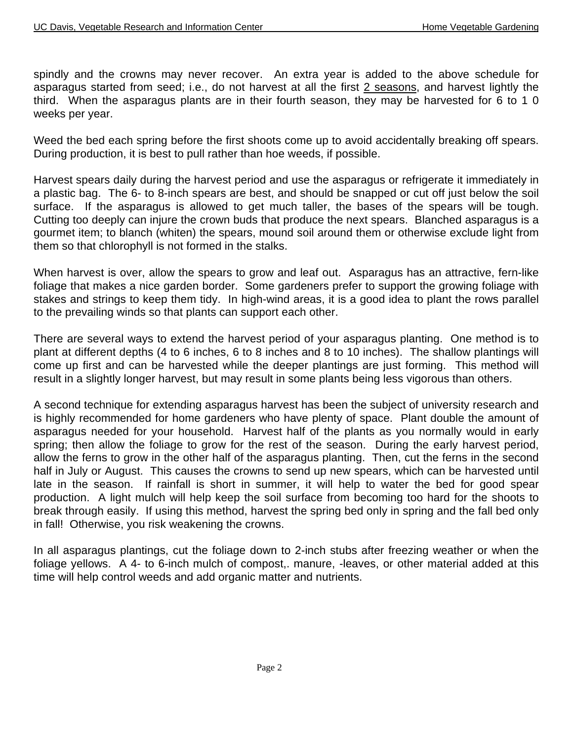spindly and the crowns may never recover. An extra year is added to the above schedule for asparagus started from seed; i.e., do not harvest at all the first 2 seasons, and harvest lightly the third. When the asparagus plants are in their fourth season, they may be harvested for 6 to 1 0 weeks per year.

Weed the bed each spring before the first shoots come up to avoid accidentally breaking off spears. During production, it is best to pull rather than hoe weeds, if possible.

Harvest spears daily during the harvest period and use the asparagus or refrigerate it immediately in a plastic bag. The 6- to 8-inch spears are best, and should be snapped or cut off just below the soil surface. If the asparagus is allowed to get much taller, the bases of the spears will be tough. Cutting too deeply can injure the crown buds that produce the next spears. Blanched asparagus is a gourmet item; to blanch (whiten) the spears, mound soil around them or otherwise exclude light from them so that chlorophyll is not formed in the stalks.

When harvest is over, allow the spears to grow and leaf out. Asparagus has an attractive, fern-like foliage that makes a nice garden border. Some gardeners prefer to support the growing foliage with stakes and strings to keep them tidy. In high-wind areas, it is a good idea to plant the rows parallel to the prevailing winds so that plants can support each other.

There are several ways to extend the harvest period of your asparagus planting. One method is to plant at different depths (4 to 6 inches, 6 to 8 inches and 8 to 10 inches). The shallow plantings will come up first and can be harvested while the deeper plantings are just forming. This method will result in a slightly longer harvest, but may result in some plants being less vigorous than others.

A second technique for extending asparagus harvest has been the subject of university research and is highly recommended for home gardeners who have plenty of space. Plant double the amount of asparagus needed for your household. Harvest half of the plants as you normally would in early spring; then allow the foliage to grow for the rest of the season. During the early harvest period, allow the ferns to grow in the other half of the asparagus planting. Then, cut the ferns in the second half in July or August. This causes the crowns to send up new spears, which can be harvested until late in the season. If rainfall is short in summer, it will help to water the bed for good spear production. A light mulch will help keep the soil surface from becoming too hard for the shoots to break through easily. If using this method, harvest the spring bed only in spring and the fall bed only in fall! Otherwise, you risk weakening the crowns.

In all asparagus plantings, cut the foliage down to 2-inch stubs after freezing weather or when the foliage yellows. A 4- to 6-inch mulch of compost,. manure, -leaves, or other material added at this time will help control weeds and add organic matter and nutrients.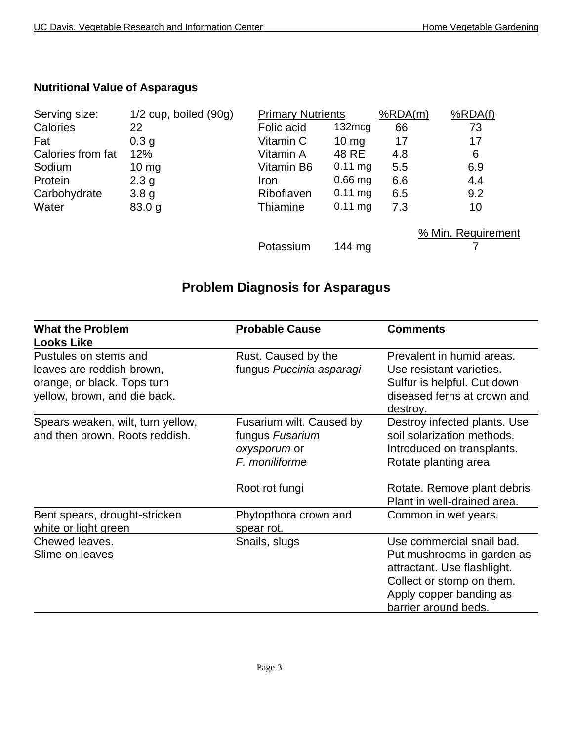## **Nutritional Value of Asparagus**

| Serving size:     | $1/2$ cup, boiled $(90g)$ | <b>Primary Nutrients</b> |                     | %RDA(m) | %RDA(f)            |
|-------------------|---------------------------|--------------------------|---------------------|---------|--------------------|
| Calories          | 22                        | Folic acid               | $132 \text{mcg}$    | 66      | 73                 |
| Fat               | 0.3 <sub>q</sub>          | Vitamin C                | $10 \text{ mg}$     | 17      | 17                 |
| Calories from fat | 12%                       | Vitamin A                | 48 RE               | 4.8     | 6                  |
| Sodium            | $10 \text{ mg}$           | Vitamin B6               | $0.11$ mg           | 5.5     | 6.9                |
| Protein           | 2.3 <sub>g</sub>          | <b>Iron</b>              | $0.66$ mg           | 6.6     | 4.4                |
| Carbohydrate      | 3.8 <sub>g</sub>          | Riboflaven               | $0.11 \, \text{mg}$ | 6.5     | 9.2                |
| Water             | 83.0 g                    | Thiamine                 | $0.11$ mg           | 7.3     | 10                 |
|                   |                           |                          |                     |         | % Min. Requirement |
|                   |                           | Potassium                | $144 \text{ mg}$    |         |                    |

## **Problem Diagnosis for Asparagus**

| <b>What the Problem</b><br><b>Looks Like</b>                                                                      | <b>Probable Cause</b>                                                         | <b>Comments</b>                                                                                                                                                        |
|-------------------------------------------------------------------------------------------------------------------|-------------------------------------------------------------------------------|------------------------------------------------------------------------------------------------------------------------------------------------------------------------|
| Pustules on stems and<br>leaves are reddish-brown,<br>orange, or black. Tops turn<br>yellow, brown, and die back. | Rust. Caused by the<br>fungus Puccinia asparagi                               | Prevalent in humid areas.<br>Use resistant varieties.<br>Sulfur is helpful. Cut down<br>diseased ferns at crown and<br>destroy.                                        |
| Spears weaken, wilt, turn yellow,<br>and then brown. Roots reddish.                                               | Fusarium wilt. Caused by<br>fungus Fusarium<br>oxysporum or<br>F. moniliforme | Destroy infected plants. Use<br>soil solarization methods.<br>Introduced on transplants.<br>Rotate planting area.                                                      |
|                                                                                                                   | Root rot fungi                                                                | Rotate. Remove plant debris<br>Plant in well-drained area.                                                                                                             |
| Bent spears, drought-stricken<br>white or light green                                                             | Phytopthora crown and<br>spear rot.                                           | Common in wet years.                                                                                                                                                   |
| Chewed leaves.<br>Slime on leaves                                                                                 | Snails, slugs                                                                 | Use commercial snail bad.<br>Put mushrooms in garden as<br>attractant. Use flashlight.<br>Collect or stomp on them.<br>Apply copper banding as<br>barrier around beds. |